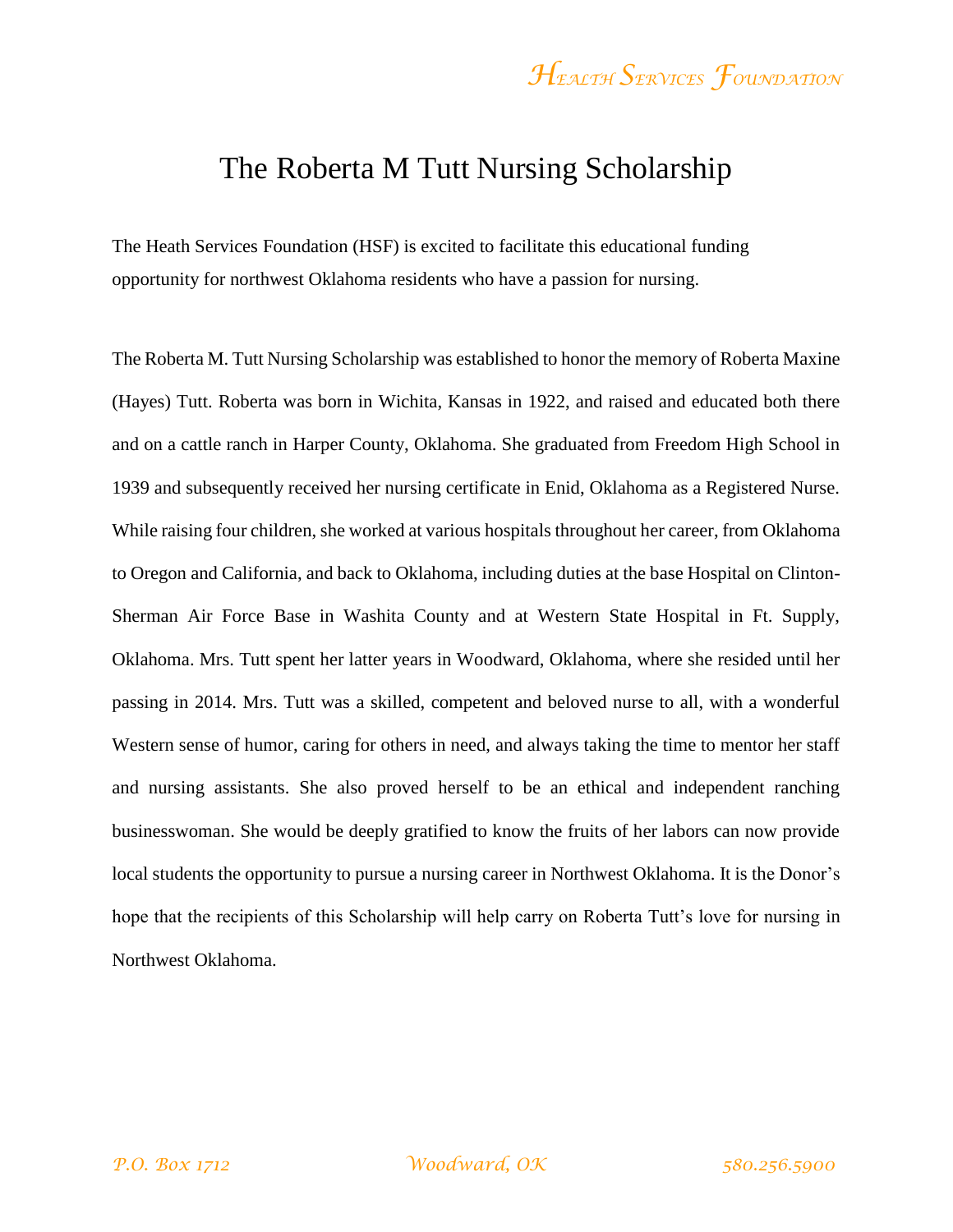#### The Roberta M Tutt Nursing Scholarship

The Heath Services Foundation (HSF) is excited to facilitate this educational funding opportunity for northwest Oklahoma residents who have a passion for nursing.

The Roberta M. Tutt Nursing Scholarship was established to honor the memory of Roberta Maxine (Hayes) Tutt. Roberta was born in Wichita, Kansas in 1922, and raised and educated both there and on a cattle ranch in Harper County, Oklahoma. She graduated from Freedom High School in 1939 and subsequently received her nursing certificate in Enid, Oklahoma as a Registered Nurse. While raising four children, she worked at various hospitals throughout her career, from Oklahoma to Oregon and California, and back to Oklahoma, including duties at the base Hospital on Clinton-Sherman Air Force Base in Washita County and at Western State Hospital in Ft. Supply, Oklahoma. Mrs. Tutt spent her latter years in Woodward, Oklahoma, where she resided until her passing in 2014. Mrs. Tutt was a skilled, competent and beloved nurse to all, with a wonderful Western sense of humor, caring for others in need, and always taking the time to mentor her staff and nursing assistants. She also proved herself to be an ethical and independent ranching businesswoman. She would be deeply gratified to know the fruits of her labors can now provide local students the opportunity to pursue a nursing career in Northwest Oklahoma. It is the Donor's hope that the recipients of this Scholarship will help carry on Roberta Tutt's love for nursing in Northwest Oklahoma.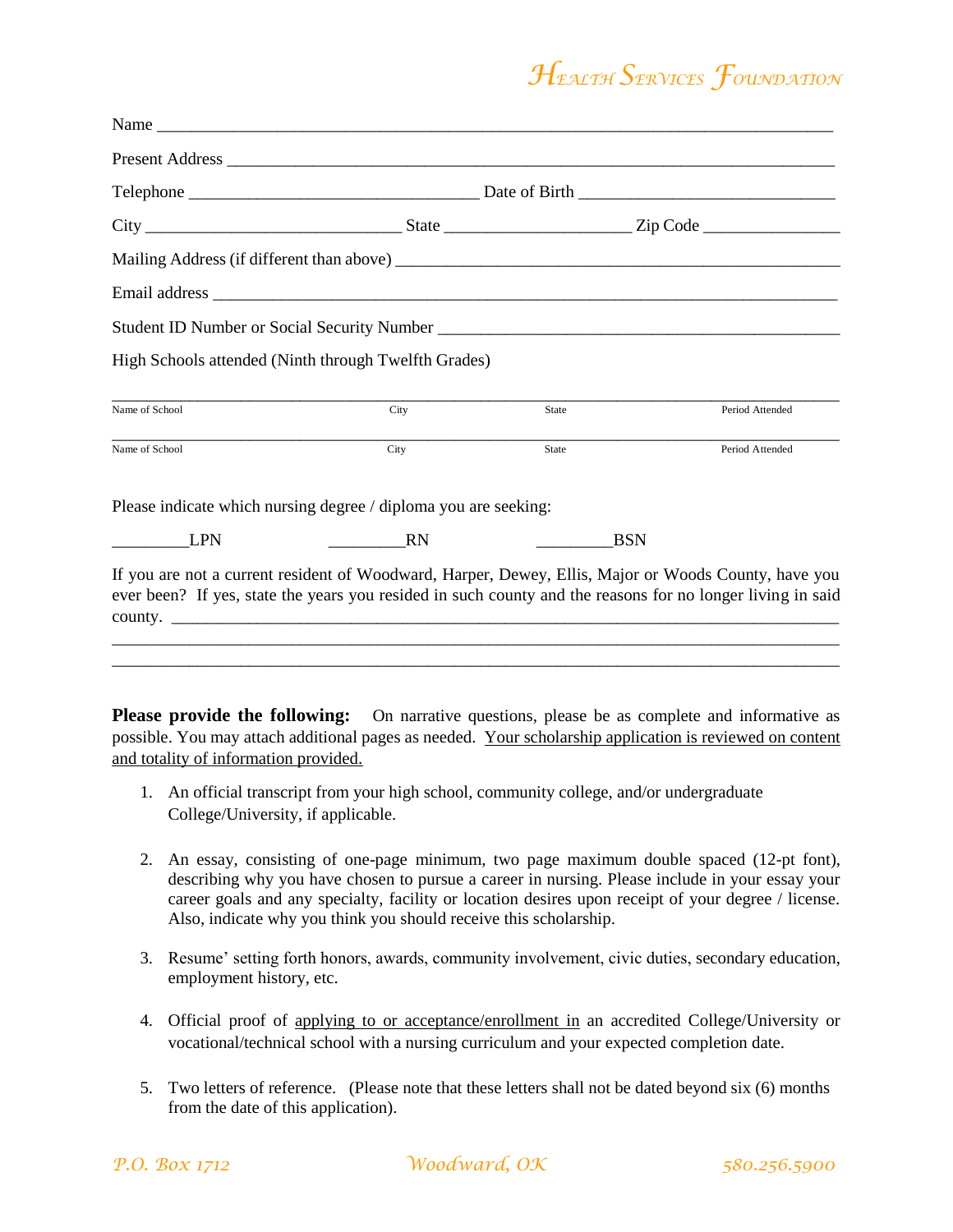|                | High Schools attended (Ninth through Twelfth Grades)            |              |                                                                                                                                                                                                                    |  |  |
|----------------|-----------------------------------------------------------------|--------------|--------------------------------------------------------------------------------------------------------------------------------------------------------------------------------------------------------------------|--|--|
| Name of School | City                                                            | <b>State</b> | Period Attended                                                                                                                                                                                                    |  |  |
| Name of School | City                                                            | State        | Period Attended                                                                                                                                                                                                    |  |  |
|                | Please indicate which nursing degree / diploma you are seeking: |              |                                                                                                                                                                                                                    |  |  |
| <b>LPN</b>     | <b>RN</b>                                                       | <b>BSN</b>   |                                                                                                                                                                                                                    |  |  |
|                | county.                                                         |              | If you are not a current resident of Woodward, Harper, Dewey, Ellis, Major or Woods County, have you<br>ever been? If yes, state the years you resided in such county and the reasons for no longer living in said |  |  |

**Please provide the following:** On narrative questions, please be as complete and informative as possible. You may attach additional pages as needed. Your scholarship application is reviewed on content and totality of information provided.

- 1. An official transcript from your high school, community college, and/or undergraduate College/University, if applicable.
- 2. An essay, consisting of one-page minimum, two page maximum double spaced (12-pt font), describing why you have chosen to pursue a career in nursing. Please include in your essay your career goals and any specialty, facility or location desires upon receipt of your degree / license. Also, indicate why you think you should receive this scholarship.
- 3. Resume' setting forth honors, awards, community involvement, civic duties, secondary education, employment history, etc.
- 4. Official proof of applying to or acceptance/enrollment in an accredited College/University or vocational/technical school with a nursing curriculum and your expected completion date.
- 5. Two letters of reference. (Please note that these letters shall not be dated beyond six (6) months from the date of this application).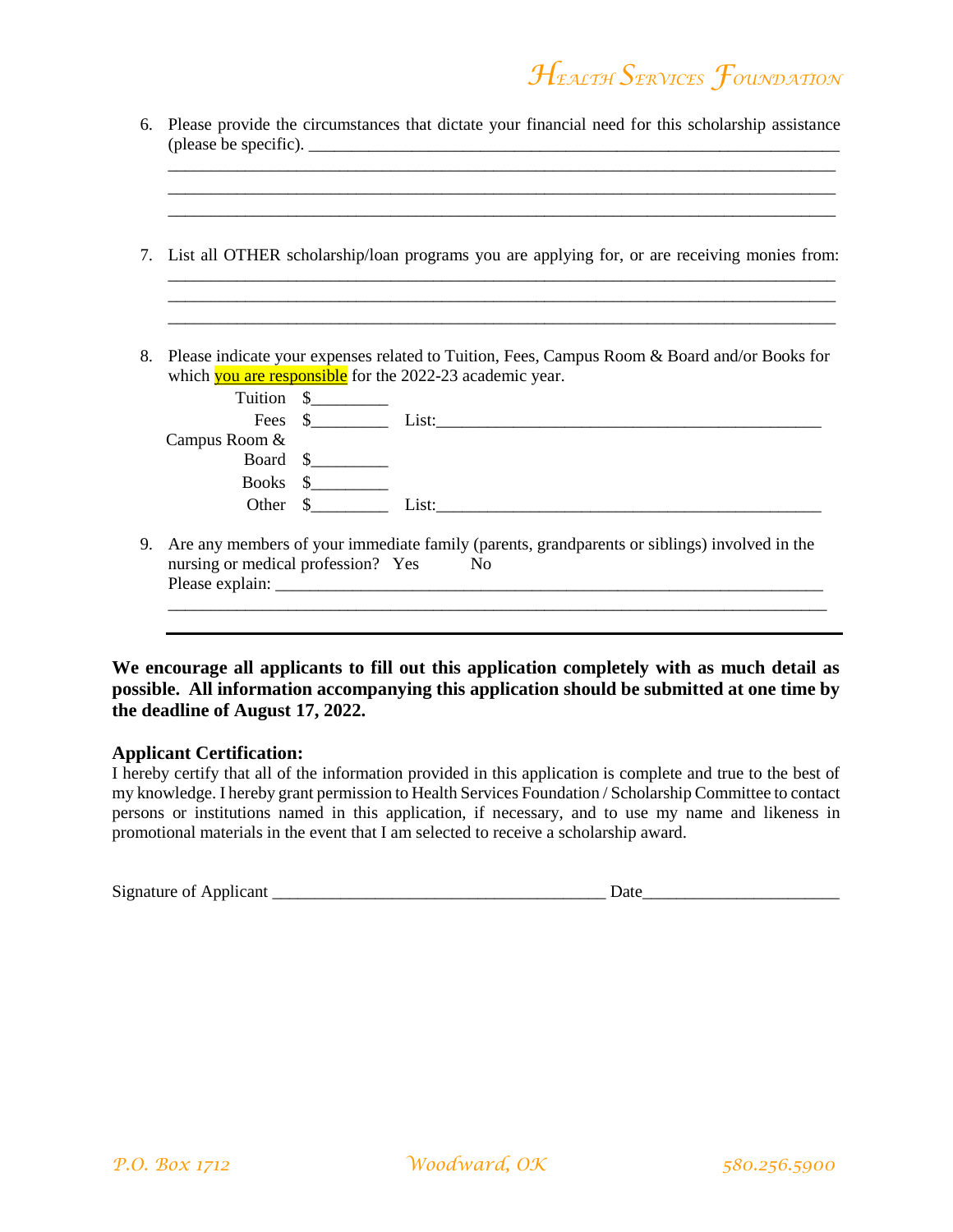|    | 7. List all OTHER scholarship/loan programs you are applying for, or are receiving monies from:                                                          |                     |  |  |  |  |
|----|----------------------------------------------------------------------------------------------------------------------------------------------------------|---------------------|--|--|--|--|
|    |                                                                                                                                                          |                     |  |  |  |  |
| 8. | Please indicate your expenses related to Tuition, Fees, Campus Room & Board and/or Books for<br>which you are responsible for the 2022-23 academic year. |                     |  |  |  |  |
|    |                                                                                                                                                          |                     |  |  |  |  |
|    |                                                                                                                                                          | Tuition \$          |  |  |  |  |
|    |                                                                                                                                                          |                     |  |  |  |  |
|    | Campus Room &                                                                                                                                            |                     |  |  |  |  |
|    |                                                                                                                                                          | Board $\frac{1}{2}$ |  |  |  |  |
|    |                                                                                                                                                          | Books $\frac{1}{2}$ |  |  |  |  |

**We encourage all applicants to fill out this application completely with as much detail as possible. All information accompanying this application should be submitted at one time by the deadline of August 17, 2022.**

#### **Applicant Certification:**

I hereby certify that all of the information provided in this application is complete and true to the best of my knowledge. I hereby grant permission to Health Services Foundation / Scholarship Committee to contact persons or institutions named in this application, if necessary, and to use my name and likeness in promotional materials in the event that I am selected to receive a scholarship award.

| Signature of<br>pplicant<br>$\overline{\phantom{a}}$ |  |
|------------------------------------------------------|--|
|                                                      |  |